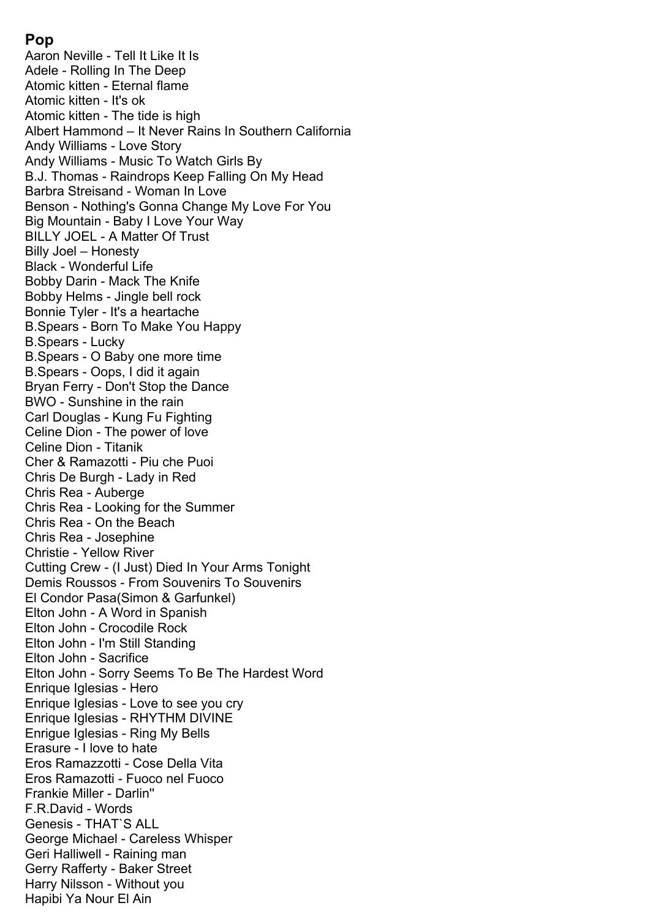# **Pop**

Aaron Neville - Tell It Like It Is Adele - Rolling In The Deep Atomic kitten - Eternal flame Atomic kitten - It's ok Atomic kitten - The tide is high Albert Hammond – It Never Rains In Southern California Andy Williams - Love Story Andy Williams - Music To Watch Girls By B.J. Thomas - Raindrops Keep Falling On My Head Barbra Streisand - Woman In Love Benson - Nothing's Gonna Change My Love For You Big Mountain - Baby I Love Your Way BILLY JOEL - A Matter Of Trust Billy Joel – Honesty Black - Wonderful Life Bobby Darin - Mack The Knife Bobby Helms - Jingle bell rock Bonnie Tyler - It's a heartache B.Spears - Born To Make You Happy B.Spears - Lucky B.Spears - O Baby one more time B.Spears - Oops, I did it again Bryan Ferry - Don't Stop the Dance BWO - Sunshine in the rain Carl Douglas - Kung Fu Fighting Celine Dion - The power of love Celine Dion - Titanik Cher & Ramazotti - Piu che Puoi Chris De Burgh - Lady in Red Chris Rea - Auberge Chris Rea - Looking for the Summer Chris Rea - On the Beach Chris Rea - Josephine Christie - Yellow River Cutting Crew - (I Just) Died In Your Arms Tonight Demis Roussos - From Souvenirs To Souvenirs El Condor Pasa(Simon & Garfunkel) Elton John - A Word in Spanish Elton John - Crocodile Rock Elton John - I'm Still Standing Elton John - Sacrifice Elton John - Sorry Seems To Be The Hardest Word Enrique Iglesias - Hero Enrique Iglesias - Love to see you cry Enrique Iglesias - RHYTHM DIVINE Enrigue Iglesias - Ring My Bells Erasure - I love to hate Eros Ramazzotti - Cosе Della Vita Eros Ramazotti - Fuoco nel Fuoco Frankie Miller - Darlin'' F.R.David - Words Genesis - THAT`S ALL George Michael - Careless Whisper Geri Halliwell - Raining man Gerry Rafferty - Baker Street Harry Nilsson - Without you Hapibi Ya Nour El Ain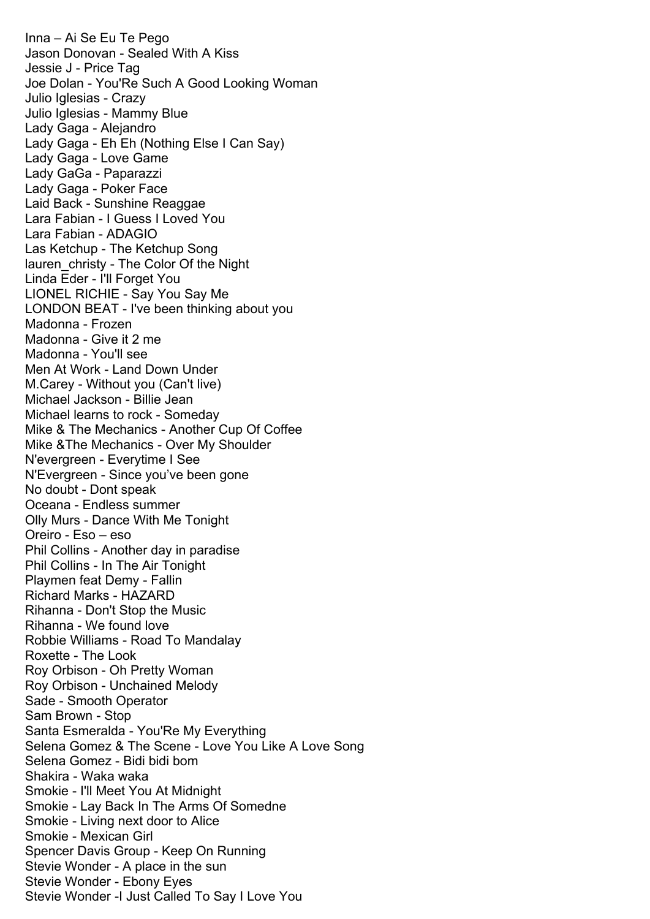Inna – Ai Se Eu Te Pego Jason Donovan - Sealed With A Kiss Jessie J - Price Tag Joe Dolan - You'Re Such A Good Looking Woman Julio Iglesias - Crazy Julio Iglesias - Mammy Blue Lady Gaga - Alejandro Lady Gaga - Eh Eh (Nothing Else I Can Say) Lady Gaga - Love Game Lady GaGa - Paparazzi Lady Gaga - Poker Face Laid Back - Sunshine Reaggae Lara Fabian - I Guess I Loved You Lara Fabian - ADAGIO Las Ketchup - The Ketchup Song lauren\_christy - The Color Of the Night Linda Eder - I'll Forget You LIONEL RICHIE - Say You Say Me LONDON BEAT - I've been thinking about you Madonna - Frozen Madonna - Give it 2 me Madonna - You'll see Men At Work - Land Down Under M.Carey - Without you (Can't live) Michael Jackson - Billie Jean Michael learns to rock - Someday Mike & The Mechanics - Another Cup Of Coffee Mike &The Mechanics - Over My Shoulder N'evergreen - Everytime I See N'Evergreen - Since you've been gone No doubt - Dont speak Oceana - Endless summer Olly Murs - Dance With Me Tonight Oreiro - Eso – eso Phil Collins - Another day in paradise Phil Collins - In The Air Tonight Playmen feat Demy - Fallin Richard Marks - HAZARD Rihanna - Don't Stop the Music Rihanna - We found love Robbie Williams - Road To Mandalay Roxette - The Look Roy Orbison - Oh Pretty Woman Roy Orbison - Unchained Melody Sade - Smooth Operator Sam Brown - Stop Santa Esmeralda - You'Re My Everything Selena Gomez & The Scene - Love You Like A Love Song Selena Gomez - Bidi bidi bom Shakira - Waka waka Smokie - I'll Meet You At Midnight Smokie - Lay Back In The Arms Of Somedne Smokie - Living next door to Alice Smokie - Mexican Girl Spencer Davis Group - Keep On Running Stevie Wonder - A place in the sun Stevie Wonder - Ebony Eyes Stevie Wonder -I Just Called To Say I Love You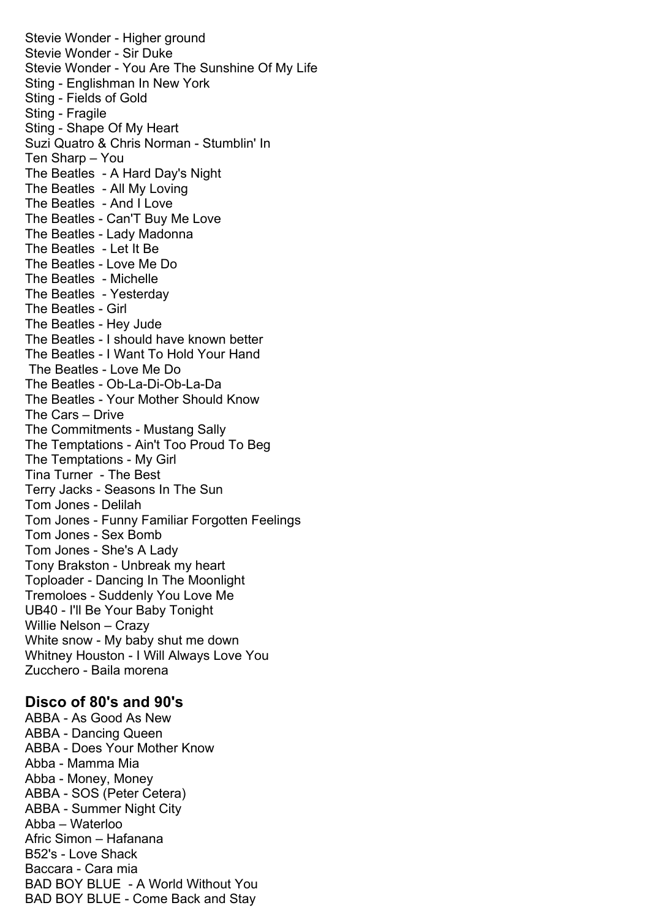Stevie Wonder - Higher ground Stevie Wonder - Sir Duke Stevie Wonder - You Are The Sunshine Of My Life Sting - Englishman In New York Sting - Fields of Gold Sting - Fragile Sting - Shape Of My Heart Suzi Quatro & Chris Norman - Stumblin' In Ten Sharp – You The Beatles - A Hard Day's Night The Beatles - All My Loving The Beatles - And I Love The Beatles - Can'T Buy Me Love The Beatles - Lady Madonna The Beatles - Let It Be The Beatles - Love Me Do The Beatles - Michelle The Beatles - Yesterday The Beatles - Girl The Beatles - Hey Jude The Beatles - I should have known better The Beatles - I Want To Hold Your Hand The Beatles - Love Me Do The Beatles - Ob-La-Di-Ob-La-Da The Beatles - Your Mother Should Know The Cars – Drive The Commitments - Mustang Sally The Temptations - Ain't Too Proud To Beg The Temptations - My Girl Tina Turner - The Best Terry Jacks - Seasons In The Sun Tom Jones - Delilah Tom Jones - Funny Familiar Forgotten Feelings Tom Jones - Sex Bomb Tom Jones - She's A Lady Tony Brakston - Unbreak my heart Toploader - Dancing In The Moonlight Tremoloes - Suddenly You Love Me UB40 - I'll Be Your Baby Tonight Willie Nelson – Crazy White snow - My baby shut me down Whitney Houston - I Will Always Love You Zucchero - Baila morena

### **Disco of 80's and 90's**

ABBA - As Good As New ABBA - Dancing Queen ABBA - Does Your Mother Know Abba - Mamma Mia Abba - Money, Money ABBA - SOS (Peter Cetera) ABBA - Summer Night City Abba – Waterloo Afric Simon – Hafanana B52's - Love Shack Baccara - Cara mia BAD BOY BLUE - A World Without You BAD BOY BLUE - Come Back and Stay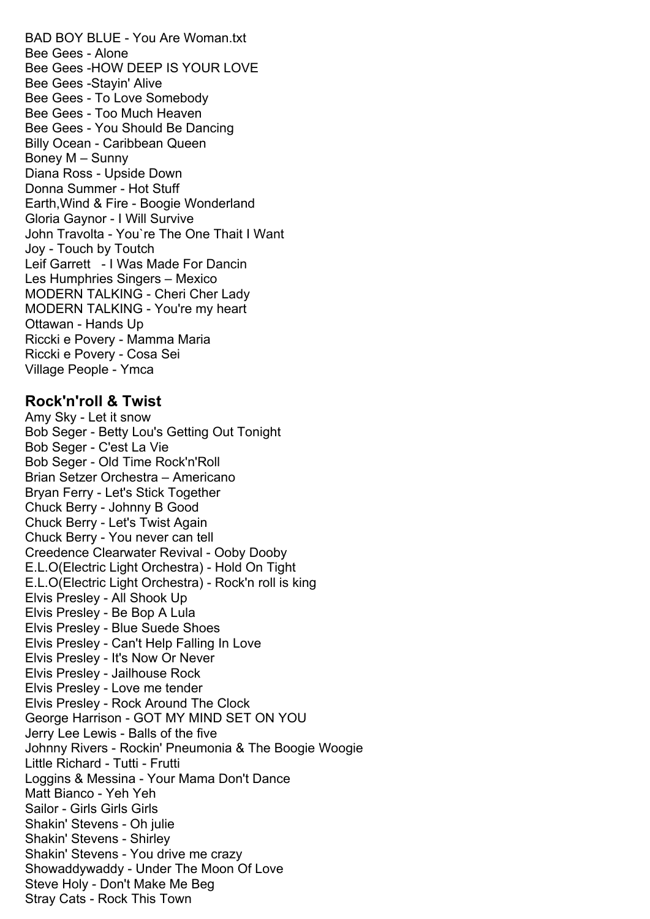BAD BOY BLUE - You Are Woman.txt Bee Gees - Alone Bee Gees -HOW DEEP IS YOUR LOVE Bee Gees -Stayin' Alive Bee Gees - To Love Somebody Bee Gees - Too Much Heaven Bee Gees - You Should Be Dancing Billy Ocean - Caribbean Queen Boney M – Sunny Diana Ross - Upside Down Donna Summer - Hot Stuff Earth,Wind & Fire - Boogie Wonderland Gloria Gaynor - I Will Survive John Travolta - You`re The One Thait I Want Joy - Touch by Toutch Leif Garrett - I Was Made For Dancin Les Humphries Singers – Mexico MODERN TALKING - Cheri Cher Lady MODERN TALKING - You're my heart Ottawan - Hands Up Riccki e Povery - Mamma Maria Riccki e Povery - Cosa Sei Village People - Ymca

## **Rock'n'roll & Twist**

Amy Sky - Let it snow Bob Seger - Betty Lou's Getting Out Tonight Bob Seger - C'est La Vie Bob Seger - Old Time Rock'n'Roll Brian Setzer Orchestra – Americano Bryan Ferry - Let's Stick Together Chuck Berry - Johnny B Good Chuck Berry - Let's Twist Again Chuck Berry - You never can tell Creedence Clearwater Revival - Ooby Dooby E.L.O(Electric Light Orchestra) - Hold On Tight E.L.O(Electric Light Orchestra) - Rock'n roll is king Elvis Presley - All Shook Up Elvis Presley - Be Bop A Lula Elvis Presley - Blue Suede Shoes Elvis Presley - Can't Help Falling In Love Elvis Presley - It's Now Or Never Elvis Presley - Jailhouse Rock Elvis Presley - Love me tender Elvis Presley - Rock Around The Clock George Harrison - GOT MY MIND SET ON YOU Jerry Lee Lewis - Balls of the five Johnny Rivers - Rockin' Pneumonia & The Boogie Woogie Little Richard - Tutti - Frutti Loggins & Messina - Your Mama Don't Dance Matt Bianco - Yeh Yeh Sailor - Girls Girls Girls Shakin' Stevens - Oh julie Shakin' Stevens - Shirley Shakin' Stevens - You drive me crazy Showaddywaddy - Under The Moon Of Love Steve Holy - Don't Make Me Beg Stray Cats - Rock This Town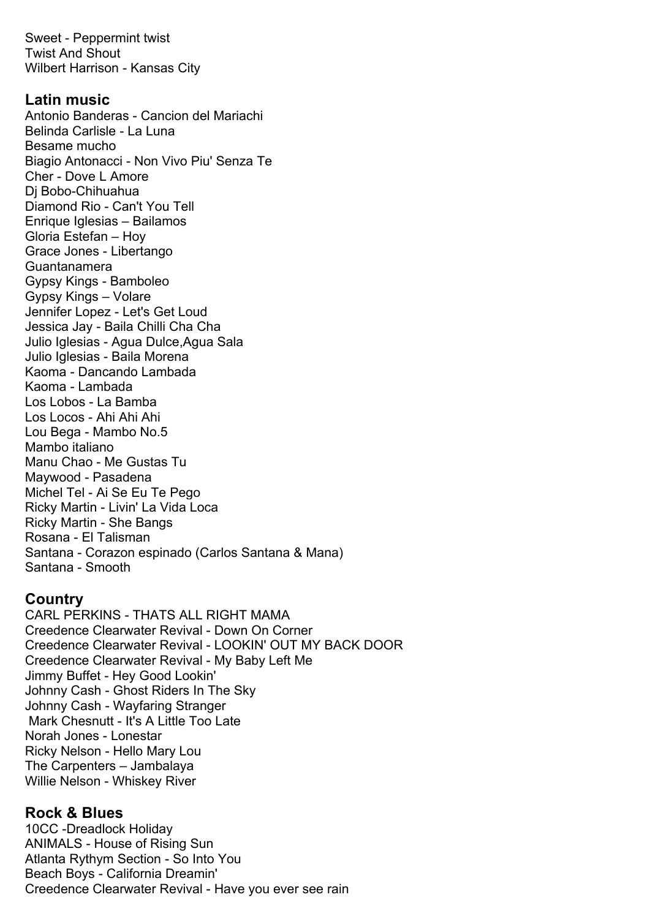Sweet - Peppermint twist Twist And Shout Wilbert Harrison - Kansas City

### **Latin music**

Antonio Banderas - Cancion del Mariachi Belinda Carlisle - La Luna Besame mucho Biagio Antonacci - Non Vivo Piu' Senza Te Cher - Dove L Amore Dj Bobo-Chihuahua Diamond Rio - Can't You Tell Enrique Iglesias – Bailamos Gloria Estefan – Hoy Grace Jones - Libertango Guantanamera Gypsy Kings - Bamboleo Gypsy Kings – Volare Jennifer Lopez - Let's Get Loud Jessica Jay - Baila Chilli Cha Cha Julio Iglesias - Agua Dulce,Agua Sala Julio Iglesias - Baila Morena Kaoma - Dancando Lambada Kaoma - Lambada Los Lobos - La Bamba Los Locos - Ahi Ahi Ahi Lou Bega - Mambo No.5 Mambo italiano Manu Chao - Me Gustas Tu Maywood - Pasadena Michel Tel - Ai Se Eu Te Pego Ricky Martin - Livin' La Vida Loca Ricky Martin - She Bangs Rosana - El Talisman Santana - Corazon espinado (Carlos Santana & Mana) Santana - Smooth

### **Country**

CARL PERKINS - THATS ALL RIGHT MAMA Creedence Clearwater Revival - Down On Corner Creedence Clearwater Revival - LOOKIN' OUT MY BACK DOOR Creedence Clearwater Revival - My Baby Left Me Jimmy Buffet - Hey Good Lookin' Johnny Cash - Ghost Riders In The Sky Johnny Cash - Wayfaring Stranger Mark Chesnutt - It's A Little Too Late Norah Jones - Lonestar Ricky Nelson - Hello Mary Lou The Carpenters – Jambalaya Willie Nelson - Whiskey River

# **Rock & Blues**

10CC -Dreadlock Holiday ANIMALS - House of Rising Sun Atlanta Rythym Section - So Into You Beach Boys - California Dreamin' Creedence Clearwater Revival - Have you ever see rain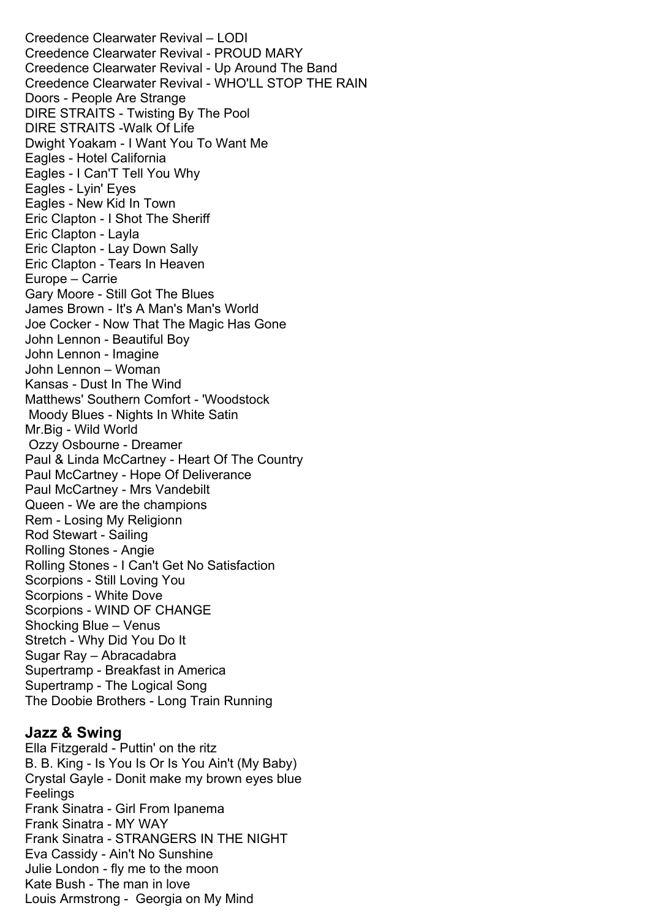Creedence Clearwater Revival – LODI Creedence Clearwater Revival - PROUD MARY Creedence Clearwater Revival - Up Around The Band Creedence Clearwater Revival - WHO'LL STOP THE RAIN Doors - People Are Strange DIRE STRAITS - Twisting By The Pool DIRE STRAITS -Walk Of Life Dwight Yoakam - I Want You To Want Me Eagles - Hotel California Eagles - I Can'T Tell You Why Eagles - Lyin' Eyes Eagles - New Kid In Town Eric Clapton - I Shot The Sheriff Eric Clapton - Layla Eric Clapton - Lay Down Sally Eric Clapton - Tears In Heaven Europe – Carrie Gary Moore - Still Got The Blues James Brown - It's A Man's Man's World Joe Cocker - Now That The Magic Has Gone John Lennon - Beautiful Boy John Lennon - Imagine John Lennon – Woman Kansas - Dust In The Wind Matthews' Southern Comfort - 'Woodstock Moody Blues - Nights In White Satin Mr.Big - Wild World Ozzy Osbourne - Dreamer Paul & Linda McCartney - Heart Of The Country Paul McCartney - Hope Of Deliverance Paul McCartney - Mrs Vandebilt Queen - We are the champions Rem - Losing My Religionn Rod Stewart - Sailing Rolling Stones - Angie Rolling Stones - I Can't Get No Satisfaction Scorpions - Still Loving You Scorpions - White Dove Scorpions - WIND OF CHANGE Shocking Blue – Venus Stretch - Why Did You Do It Sugar Ray – Abracadabra Supertramp - Breakfast in America Supertramp - The Logical Song The Doobie Brothers - Long Train Running

#### **Jazz & Swing**

Ella Fitzgerald - Puttin' on the ritz B. B. King - Is You Is Or Is You Ain't (My Baby) Crystal Gayle - Donit make my brown eyes blue **Feelings** Frank Sinatra - Girl From Ipanema Frank Sinatra - MY WAY Frank Sinatra - STRANGERS IN THE NIGHT Eva Cassidy - Ain't No Sunshine Julie London - fly me to the moon Kate Bush - The man in love Louis Armstrong - Georgia on My Mind